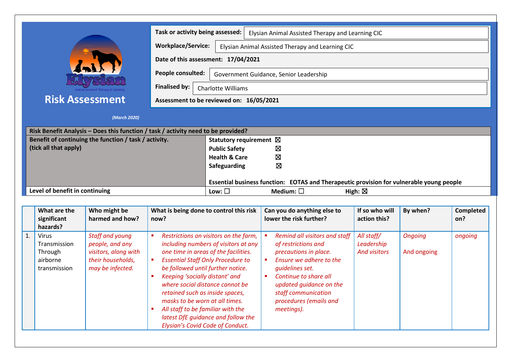|                                                                                                                                                                     | Task or activity being assessed:                             |                                                                                                            |                                                                                                                                                                                                                     |                                                                                                                                                                                                                                                                                | Elysian Animal Assisted Therapy and Learning CIC                                                                                                                                                                                                                 |                                                 |                               |                         |  |  |  |
|---------------------------------------------------------------------------------------------------------------------------------------------------------------------|--------------------------------------------------------------|------------------------------------------------------------------------------------------------------------|---------------------------------------------------------------------------------------------------------------------------------------------------------------------------------------------------------------------|--------------------------------------------------------------------------------------------------------------------------------------------------------------------------------------------------------------------------------------------------------------------------------|------------------------------------------------------------------------------------------------------------------------------------------------------------------------------------------------------------------------------------------------------------------|-------------------------------------------------|-------------------------------|-------------------------|--|--|--|
|                                                                                                                                                                     |                                                              |                                                                                                            |                                                                                                                                                                                                                     | <b>Workplace/Service:</b><br>Elysian Animal Assisted Therapy and Learning CIC                                                                                                                                                                                                  |                                                                                                                                                                                                                                                                  |                                                 |                               |                         |  |  |  |
|                                                                                                                                                                     |                                                              |                                                                                                            | Date of this assessment: 17/04/2021                                                                                                                                                                                 |                                                                                                                                                                                                                                                                                |                                                                                                                                                                                                                                                                  |                                                 |                               |                         |  |  |  |
|                                                                                                                                                                     |                                                              |                                                                                                            | People consulted:<br>Government Guidance, Senior Leadership                                                                                                                                                         |                                                                                                                                                                                                                                                                                |                                                                                                                                                                                                                                                                  |                                                 |                               |                         |  |  |  |
|                                                                                                                                                                     |                                                              |                                                                                                            | <b>Finalised by:</b><br><b>Charlotte Williams</b>                                                                                                                                                                   |                                                                                                                                                                                                                                                                                |                                                                                                                                                                                                                                                                  |                                                 |                               |                         |  |  |  |
|                                                                                                                                                                     | <b>Risk Assessment</b>                                       |                                                                                                            |                                                                                                                                                                                                                     | Assessment to be reviewed on: 16/05/2021                                                                                                                                                                                                                                       |                                                                                                                                                                                                                                                                  |                                                 |                               |                         |  |  |  |
|                                                                                                                                                                     |                                                              | (March 2020)                                                                                               |                                                                                                                                                                                                                     |                                                                                                                                                                                                                                                                                |                                                                                                                                                                                                                                                                  |                                                 |                               |                         |  |  |  |
|                                                                                                                                                                     |                                                              |                                                                                                            |                                                                                                                                                                                                                     |                                                                                                                                                                                                                                                                                |                                                                                                                                                                                                                                                                  |                                                 |                               |                         |  |  |  |
| Risk Benefit Analysis - Does this function / task / activity need to be provided?<br>Benefit of continuing the function / task / activity.<br>(tick all that apply) |                                                              |                                                                                                            | Statutory requirement ⊠<br><b>Public Safety</b><br>Σ<br>Ø<br><b>Health &amp; Care</b><br>⊠<br>Safeguarding<br>Essential business function: EOTAS and Therapeutic provision for vulnerable young people              |                                                                                                                                                                                                                                                                                |                                                                                                                                                                                                                                                                  |                                                 |                               |                         |  |  |  |
| Level of benefit in continuing                                                                                                                                      |                                                              |                                                                                                            | Medium: $\square$<br>Low: $\square$<br>High: $\boxtimes$                                                                                                                                                            |                                                                                                                                                                                                                                                                                |                                                                                                                                                                                                                                                                  |                                                 |                               |                         |  |  |  |
|                                                                                                                                                                     |                                                              |                                                                                                            |                                                                                                                                                                                                                     |                                                                                                                                                                                                                                                                                |                                                                                                                                                                                                                                                                  |                                                 |                               |                         |  |  |  |
|                                                                                                                                                                     | What are the<br>significant<br>hazards?                      | Who might be<br>harmed and how?                                                                            | What is being done to control this risk<br>now?                                                                                                                                                                     |                                                                                                                                                                                                                                                                                | Can you do anything else to<br>lower the risk further?                                                                                                                                                                                                           | If so who will<br>action this?                  | By when?                      | <b>Completed</b><br>on? |  |  |  |
| 1.                                                                                                                                                                  | Virus<br>Transmission<br>Through<br>airborne<br>transmission | <b>Staff and young</b><br>people, and any<br>visitors, along with<br>their households,<br>may be infected. | $\blacksquare$<br>$\blacksquare$ .<br>be followed until further notice.<br>Keeping 'socially distant' and<br>retained such as inside spaces,<br>masks to be worn at all times.<br>All staff to be familiar with the | Restrictions on visitors on the farm,<br>including numbers of visitors at any<br>one time in areas of the facilities.<br><b>Essential Staff Only Procedure to</b><br>where social distance cannot be<br>latest DfE quidance and follow the<br>Elysian's Covid Code of Conduct. | Remind all visitors and staff<br>of restrictions and<br>precautions in place.<br>Ensure we adhere to the<br>$\blacksquare$<br>quidelines set.<br>Continue to share all<br>updated guidance on the<br>staff communication<br>procedures (emails and<br>meetings). | All staff/<br>Leadership<br><b>And visitors</b> | <b>Ongoing</b><br>And ongoing | ongoing                 |  |  |  |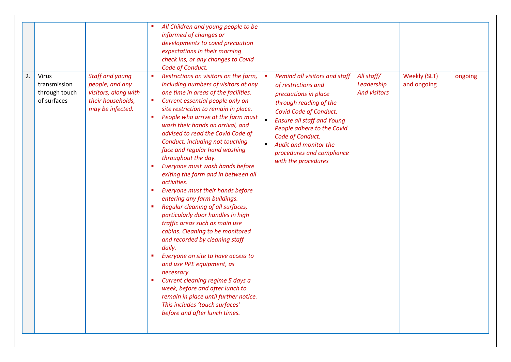| 2. | <b>Virus</b>                                 | Staff and young                                                                  | All Children and young people to be<br>informed of changes or<br>developments to covid precaution<br>expectations in their morning<br>check ins, or any changes to Covid<br>Code of Conduct.<br>Restrictions on visitors on the farm,                                                                                                                                                                                                                                                                                                                                                                                                                                                                                                                                                                                                                                                                                                                                                                                                  | Remind all visitors and staff                                                                                                                                                                                                                                                         | All staff/                        | <b>Weekly (SLT)</b> | ongoing |
|----|----------------------------------------------|----------------------------------------------------------------------------------|----------------------------------------------------------------------------------------------------------------------------------------------------------------------------------------------------------------------------------------------------------------------------------------------------------------------------------------------------------------------------------------------------------------------------------------------------------------------------------------------------------------------------------------------------------------------------------------------------------------------------------------------------------------------------------------------------------------------------------------------------------------------------------------------------------------------------------------------------------------------------------------------------------------------------------------------------------------------------------------------------------------------------------------|---------------------------------------------------------------------------------------------------------------------------------------------------------------------------------------------------------------------------------------------------------------------------------------|-----------------------------------|---------------------|---------|
|    | transmission<br>through touch<br>of surfaces | people, and any<br>visitors, along with<br>their households,<br>may be infected. | including numbers of visitors at any<br>one time in areas of the facilities.<br>Current essential people only on-<br>$\blacksquare$<br>site restriction to remain in place.<br>People who arrive at the farm must<br>٠<br>wash their hands on arrival, and<br>advised to read the Covid Code of<br>Conduct, including not touching<br>face and regular hand washing<br>throughout the day.<br>Everyone must wash hands before<br>×<br>exiting the farm and in between all<br>activities.<br>Everyone must their hands before<br>٠<br>entering any farm buildings.<br>Regular cleaning of all surfaces,<br>particularly door handles in high<br>traffic areas such as main use<br>cabins. Cleaning to be monitored<br>and recorded by cleaning staff<br>daily.<br>Everyone on site to have access to<br>п<br>and use PPE equipment, as<br>necessary.<br>Current cleaning regime 5 days a<br>week, before and after lunch to<br>remain in place until further notice.<br>This includes 'touch surfaces'<br>before and after lunch times. | of restrictions and<br>precautions in place<br>through reading of the<br>Covid Code of Conduct.<br>$\blacksquare$<br><b>Ensure all staff and Young</b><br>People adhere to the Covid<br>Code of Conduct.<br>Audit and monitor the<br>procedures and compliance<br>with the procedures | Leadership<br><b>And visitors</b> | and ongoing         |         |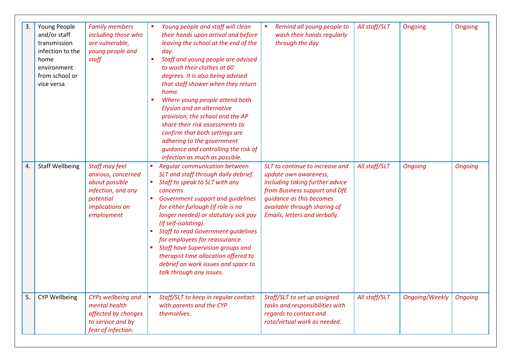| 3. | Young People<br>and/or staff<br>transmission<br>infection to the<br>home<br>environment<br>from school or<br>vice versa | <b>Family members</b><br>including those who<br>are vulnerable,<br>young people and<br>staff                               | Young people and staff will clean<br>their hands upon arrival and before<br>leaving the school at the end of the<br>day.<br>Staff and young people are advised<br>to wash their clothes at 60<br>degrees. It is also being advised<br>that staff shower when they return<br>home.<br>Where young people attend both<br><b>Elysian and an alternative</b><br>provision, the school and the AP<br>share their risk assessments to<br>confirm that both settings are<br>adhering to the government<br>guidance and controlling the risk of<br>infection as much as possible. | Remind all young people to<br>wash their hands regularly<br>through the day                                                                                                                                               | All staff/SLT | Ongoing               | Ongoing        |
|----|-------------------------------------------------------------------------------------------------------------------------|----------------------------------------------------------------------------------------------------------------------------|---------------------------------------------------------------------------------------------------------------------------------------------------------------------------------------------------------------------------------------------------------------------------------------------------------------------------------------------------------------------------------------------------------------------------------------------------------------------------------------------------------------------------------------------------------------------------|---------------------------------------------------------------------------------------------------------------------------------------------------------------------------------------------------------------------------|---------------|-----------------------|----------------|
| 4. | <b>Staff Wellbeing</b>                                                                                                  | Staff may feel<br>anxious, concerned<br>about possible<br>infection, and any<br>potential<br>implications on<br>employment | <b>Regular communication between</b><br>SLT and staff through daily debrief.<br>Staff to speak to SLT with any<br>concerns.<br>Government support and guidelines<br>for either furlough (if role is no<br>longer needed) or statutory sick pay<br>(if self-isolating).<br><b>Staff to read Government guidelines</b><br>for employees for reassurance.<br><b>Staff have Supervision groups and</b><br>therapist time allocation offered to<br>debrief on work issues and space to<br>talk through any issues.                                                             | SLT to continue to increase and<br>update own awareness,<br>including taking further advice<br>from Business support and DfE<br>quidance as this becomes<br>available through sharing of<br>Emails, letters and verbally. | All staff/SLT | <b>Ongoing</b>        | <b>Ongoing</b> |
| 5. | <b>CYP Wellbeing</b>                                                                                                    | CYPs wellbeing and<br>mental health<br>affected by changes<br>to service and by<br>fear of infection.                      | Staff/SLT to keep in regular contact<br>with parents and the CYP<br>themselves.                                                                                                                                                                                                                                                                                                                                                                                                                                                                                           | Staff/SLT to set up assigned<br>tasks and responsibilities with<br>regards to contact and<br>rota/virtual work as needed.                                                                                                 | All staff/SLT | <b>Ongoing/Weekly</b> | <b>Ongoing</b> |